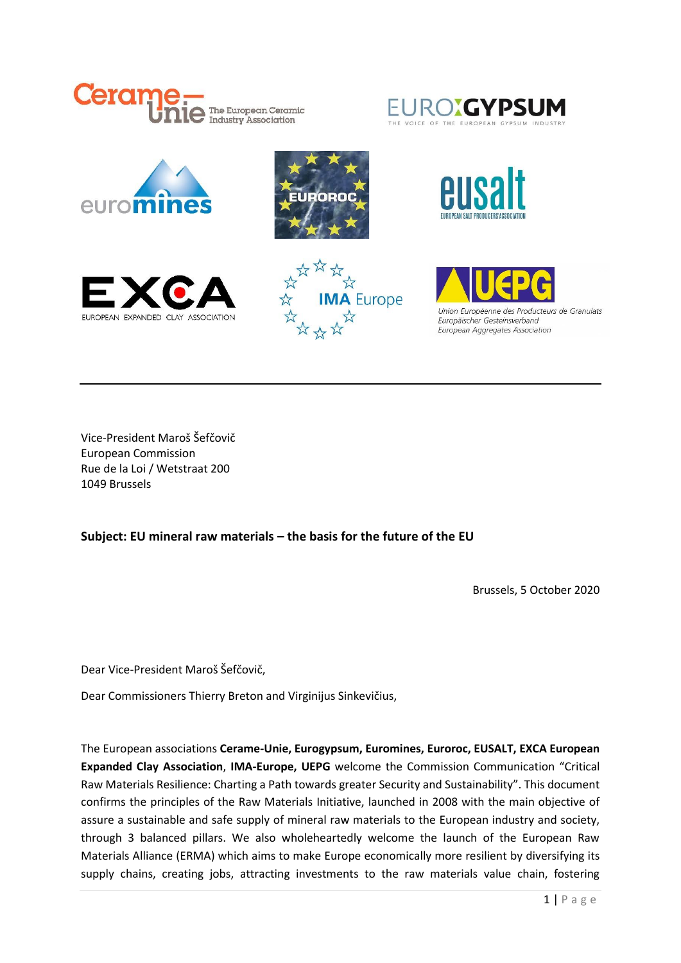





Vice-President Maroš Šefčovič European Commission Rue de la Loi / Wetstraat 200 1049 Brussels

### **Subject: EU mineral raw materials – the basis for the future of the EU**

Brussels, 5 October 2020

Dear Vice-President Maroš Šefčovič,

Dear Commissioners Thierry Breton and Virginijus Sinkevičius,

The European associations **Cerame-Unie, Eurogypsum, Euromines, Euroroc, EUSALT, EXCA European Expanded Clay Association**, **IMA-Europe, UEPG** welcome the Commission Communication "Critical Raw Materials Resilience: Charting a Path towards greater Security and Sustainability". This document confirms the principles of the Raw Materials Initiative, launched in 2008 with the main objective of assure a sustainable and safe supply of mineral raw materials to the European industry and society, through 3 balanced pillars. We also wholeheartedly welcome the launch of the European Raw Materials Alliance (ERMA) which aims to make Europe economically more resilient by diversifying its supply chains, creating jobs, attracting investments to the raw materials value chain, fostering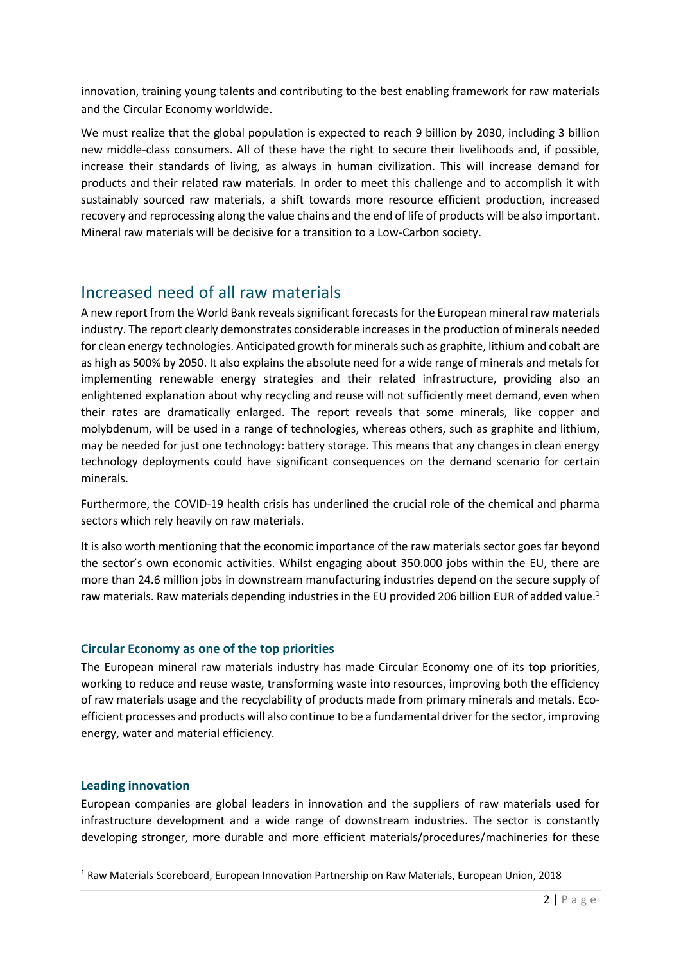innovation, training young talents and contributing to the best enabling framework for raw materials and the Circular Economy worldwide.

We must realize that the global population is expected to reach 9 billion by 2030, including 3 billion new middle-class consumers. All of these have the right to secure their livelihoods and, if possible, increase their standards of living, as always in human civilization. This will increase demand for products and their related raw materials. In order to meet this challenge and to accomplish it with sustainably sourced raw materials, a shift towards more resource efficient production, increased recovery and reprocessing along the value chains and the end of life of products will be also important. Mineral raw materials will be decisive for a transition to a Low-Carbon society.

### Increased need of all raw materials

A new report from the World Bank reveals significant forecasts for the European mineral raw materials industry. The report clearly demonstrates considerable increases in the production of minerals needed for clean energy technologies. Anticipated growth for minerals such as graphite, lithium and cobalt are as high as 500% by 2050. It also explains the absolute need for a wide range of minerals and metals for implementing renewable energy strategies and their related infrastructure, providing also an enlightened explanation about why recycling and reuse will not sufficiently meet demand, even when their rates are dramatically enlarged. The report reveals that some minerals, like copper and molybdenum, will be used in a range of technologies, whereas others, such as graphite and lithium, may be needed for just one technology: battery storage. This means that any changes in clean energy technology deployments could have significant consequences on the demand scenario for certain minerals.

Furthermore, the COVID-19 health crisis has underlined the crucial role of the chemical and pharma sectors which rely heavily on raw materials.

It is also worth mentioning that the economic importance of the raw materials sector goes far beyond the sector's own economic activities. Whilst engaging about 350.000 jobs within the EU, there are more than 24.6 million jobs in downstream manufacturing industries depend on the secure supply of raw materials. Raw materials depending industries in the EU provided 206 billion EUR of added value.<sup>1</sup>

#### **Circular Economy as one of the top priorities**

The European mineral raw materials industry has made Circular Economy one of its top priorities, working to reduce and reuse waste, transforming waste into resources, improving both the efficiency of raw materials usage and the recyclability of products made from primary minerals and metals. Ecoefficient processes and products will also continue to be a fundamental driver for the sector, improving energy, water and material efficiency.

#### **Leading innovation**

European companies are global leaders in innovation and the suppliers of raw materials used for infrastructure development and a wide range of downstream industries. The sector is constantly developing stronger, more durable and more efficient materials/procedures/machineries for these

<sup>1</sup> Raw Materials Scoreboard, European Innovation Partnership on Raw Materials, European Union, 2018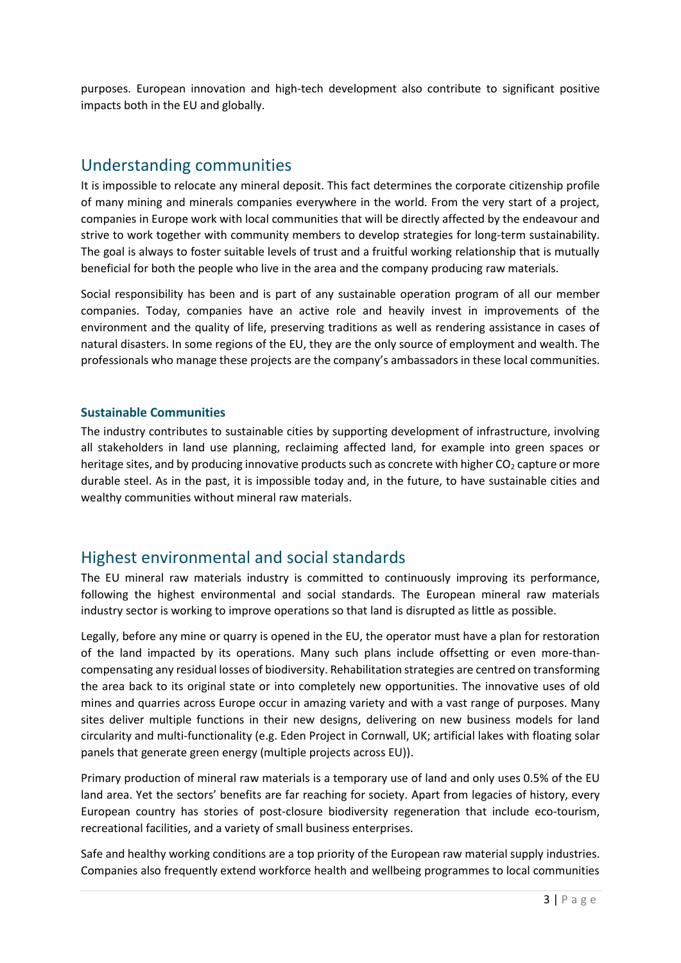purposes. European innovation and high-tech development also contribute to significant positive impacts both in the EU and globally.

### Understanding communities

It is impossible to relocate any mineral deposit. This fact determines the corporate citizenship profile of many mining and minerals companies everywhere in the world. From the very start of a project, companies in Europe work with local communities that will be directly affected by the endeavour and strive to work together with community members to develop strategies for long-term sustainability. The goal is always to foster suitable levels of trust and a fruitful working relationship that is mutually beneficial for both the people who live in the area and the company producing raw materials.

Social responsibility has been and is part of any sustainable operation program of all our member companies. Today, companies have an active role and heavily invest in improvements of the environment and the quality of life, preserving traditions as well as rendering assistance in cases of natural disasters. In some regions of the EU, they are the only source of employment and wealth. The professionals who manage these projects are the company's ambassadors in these local communities.

#### **Sustainable Communities**

The industry contributes to sustainable cities by supporting development of infrastructure, involving all stakeholders in land use planning, reclaiming affected land, for example into green spaces or heritage sites, and by producing innovative products such as concrete with higher  $CO<sub>2</sub>$  capture or more durable steel. As in the past, it is impossible today and, in the future, to have sustainable cities and wealthy communities without mineral raw materials.

# Highest environmental and social standards

The EU mineral raw materials industry is committed to continuously improving its performance, following the highest environmental and social standards. The European mineral raw materials industry sector is working to improve operations so that land is disrupted as little as possible.

Legally, before any mine or quarry is opened in the EU, the operator must have a plan for restoration of the land impacted by its operations. Many such plans include offsetting or even more-thancompensating any residual losses of biodiversity. Rehabilitation strategies are centred on transforming the area back to its original state or into completely new opportunities. The innovative uses of old mines and quarries across Europe occur in amazing variety and with a vast range of purposes. Many sites deliver multiple functions in their new designs, delivering on new business models for land circularity and multi-functionality (e.g. Eden Project in Cornwall, UK; artificial lakes with floating solar panels that generate green energy (multiple projects across EU)).

Primary production of mineral raw materials is a temporary use of land and only uses 0.5% of the EU land area. Yet the sectors' benefits are far reaching for society. Apart from legacies of history, every European country has stories of post-closure biodiversity regeneration that include eco-tourism, recreational facilities, and a variety of small business enterprises.

Safe and healthy working conditions are a top priority of the European raw material supply industries. Companies also frequently extend workforce health and wellbeing programmes to local communities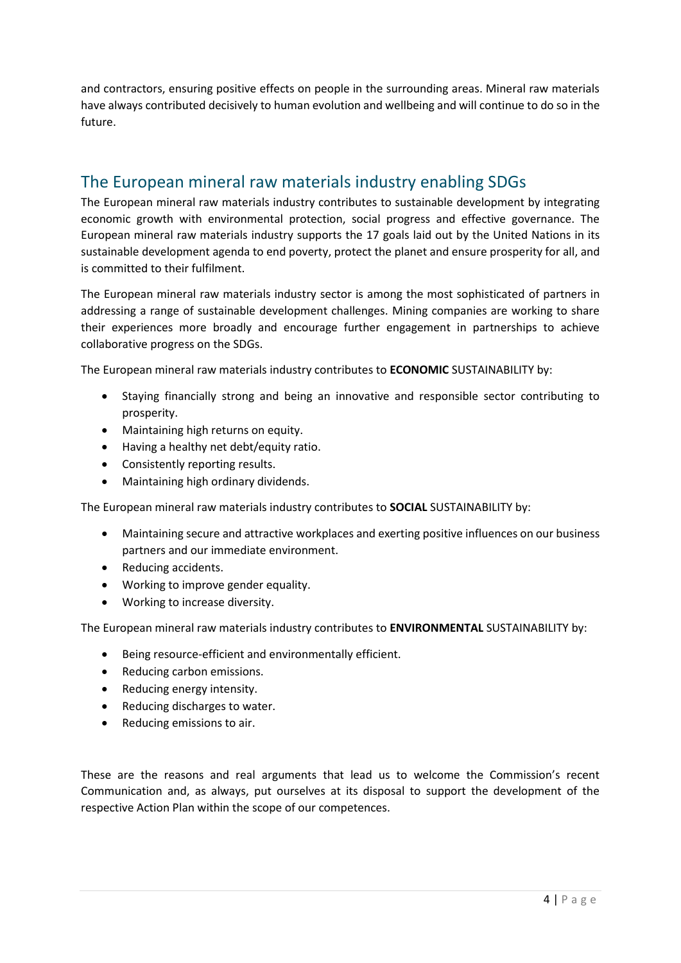and contractors, ensuring positive effects on people in the surrounding areas. Mineral raw materials have always contributed decisively to human evolution and wellbeing and will continue to do so in the future.

## The European mineral raw materials industry enabling SDGs

The European mineral raw materials industry contributes to sustainable development by integrating economic growth with environmental protection, social progress and effective governance. The European mineral raw materials industry supports the 17 goals laid out by the United Nations in its sustainable development agenda to end poverty, protect the planet and ensure prosperity for all, and is committed to their fulfilment.

The European mineral raw materials industry sector is among the most sophisticated of partners in addressing a range of sustainable development challenges. Mining companies are working to share their experiences more broadly and encourage further engagement in partnerships to achieve collaborative progress on the SDGs.

The European mineral raw materials industry contributes to **ECONOMIC** SUSTAINABILITY by:

- Staying financially strong and being an innovative and responsible sector contributing to prosperity.
- Maintaining high returns on equity.
- Having a healthy net debt/equity ratio.
- Consistently reporting results.
- Maintaining high ordinary dividends.

The European mineral raw materials industry contributes to **SOCIAL** SUSTAINABILITY by:

- Maintaining secure and attractive workplaces and exerting positive influences on our business partners and our immediate environment.
- Reducing accidents.
- Working to improve gender equality.
- Working to increase diversity.

The European mineral raw materials industry contributes to **ENVIRONMENTAL** SUSTAINABILITY by:

- Being resource-efficient and environmentally efficient.
- Reducing carbon emissions.
- Reducing energy intensity.
- Reducing discharges to water.
- Reducing emissions to air.

These are the reasons and real arguments that lead us to welcome the Commission's recent Communication and, as always, put ourselves at its disposal to support the development of the respective Action Plan within the scope of our competences.